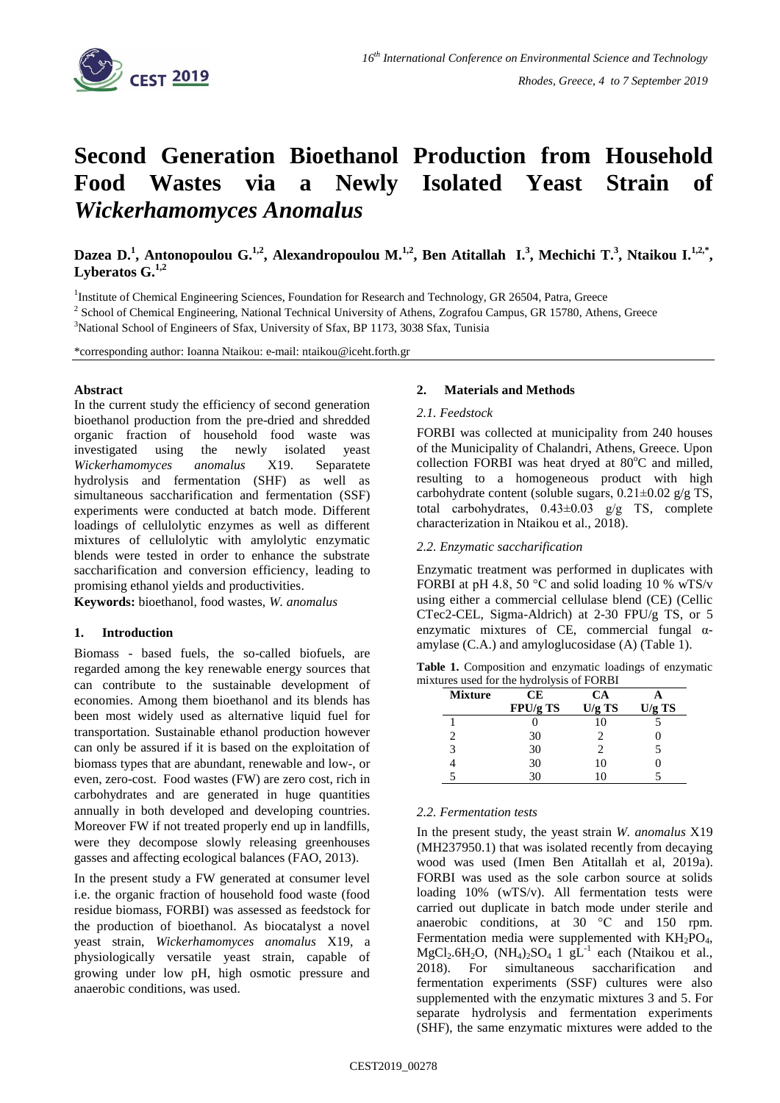

# **Second Generation Bioethanol Production from Household Food Wastes via a Newly Isolated Yeast Strain of**  *Wickerhamomyces Anomalus*

Dazea D.<sup>1</sup>, Antonopoulou G.<sup>1,2</sup>, Alexandropoulou M.<sup>1,2</sup>, Ben Atitallah I.<sup>3</sup>, Mechichi T.<sup>3</sup>, Ntaikou I.<sup>1,2,\*</sup>, **Lyberatos G. 1,2**

<sup>1</sup>Institute of Chemical Engineering Sciences, Foundation for Research and Technology, GR 26504, Patra, Greece

<sup>2</sup> School of Chemical Engineering, National Technical University of Athens, Zografou Campus, GR 15780, Athens, Greece

<sup>3</sup>National School of Engineers of Sfax, University of Sfax, BP 1173, 3038 Sfax, Tunisia

\*corresponding author: Ioanna Ntaikou: e-mail: ntaikou@iceht.forth.gr

### **Abstract**

In the current study the efficiency of second generation bioethanol production from the pre-dried and shredded organic fraction of household food waste was investigated using the newly isolated yeast *Wickerhamomyces anomalus* X19. Separatete hydrolysis and fermentation (SHF) as well as simultaneous saccharification and fermentation (SSF) experiments were conducted at batch mode. Different loadings of cellulolytic enzymes as well as different mixtures of cellulolytic with amylolytic enzymatic blends were tested in order to enhance the substrate saccharification and conversion efficiency, leading to promising ethanol yields and productivities.

**Keywords:** bioethanol, food wastes, *W. anomalus*

### **1. Introduction**

Biomass - based fuels, the so-called biofuels, are regarded among the key renewable energy sources that can contribute to the sustainable development of economies. Among them bioethanol and its blends has been most widely used as alternative liquid fuel for transportation. Sustainable ethanol production however can only be assured if it is based on the exploitation of biomass types that are abundant, renewable and low-, or even, zero-cost. Food wastes (FW) are zero cost, rich in carbohydrates and are generated in huge quantities annually in both developed and developing countries. Moreover FW if not treated properly end up in landfills, were they decompose slowly releasing greenhouses gasses and affecting ecological balances (FAO, 2013).

In the present study a FW generated at consumer level i.e. the organic fraction of household food waste (food residue biomass, FORBI) was assessed as feedstock for the production of bioethanol. As biocatalyst a novel yeast strain, *Wickerhamomyces anomalus* X19, a physiologically versatile yeast strain, capable of growing under low pH, high osmotic pressure and anaerobic conditions, was used.

# **2. Materials and Methods**

### *2.1. Feedstock*

FORBI was collected at municipality from 240 houses of the Municipality of Chalandri, Athens, Greece. Upon collection FORBI was heat dryed at  $80^{\circ}$ C and milled, resulting to a homogeneous product with high carbohydrate content (soluble sugars, 0.21±0.02 g/g TS, total carbohydrates, 0.43±0.03 g/g TS, complete characterization in Ntaikou et al., 2018).

# *2.2. Enzymatic saccharification*

Enzymatic treatment was performed in duplicates with FORBI at pH 4.8, 50  $^{\circ}$ C and solid loading 10 % wTS/v using either a commercial cellulase blend (CE) (Cellic CTec2-CEL, Sigma-Aldrich) at 2-30 FPU/g TS, or 5 enzymatic mixtures of CE, commercial fungal αamylase (C.A.) and amyloglucosidase (A) (Table 1).

| Table 1. Composition and enzymatic loadings of enzymatic |  |  |  |
|----------------------------------------------------------|--|--|--|
| mixtures used for the hydrolysis of FORBI                |  |  |  |

| <b>Mixture</b> | CЕ       | CA       |          |
|----------------|----------|----------|----------|
|                | FPU/g TS | $U/g$ TS | $U/g$ TS |
|                |          | 10       |          |
| 2              | 30       |          |          |
|                | 30       |          |          |
|                | 30       | 10       |          |
|                | 30       |          |          |

### *2.2. Fermentation tests*

In the present study, the yeast strain *W. anomalus* X19 (MH237950.1) that was isolated recently from decaying wood was used (Imen Ben Atitallah et al, 2019a). FORBI was used as the sole carbon source at solids loading 10% (wTS/v). All fermentation tests were carried out duplicate in batch mode under sterile and anaerobic conditions, at 30 °C and 150 rpm. Fermentation media were supplemented with  $KH_2PO_4$ ,  $MgCl_2.6H_2O$ ,  $(NH_4)_2SO_4$  1  $gL^{-1}$  each (Ntaikou et al., 2018). For simultaneous saccharification and fermentation experiments (SSF) cultures were also supplemented with the enzymatic mixtures 3 and 5. For separate hydrolysis and fermentation experiments (SHF), the same enzymatic mixtures were added to the